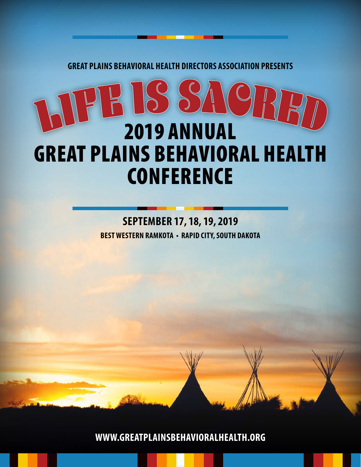**GREAT PLAINS BEHAVIORAL HEALTH DIRECTORS ASSOCIATION PRESENTS**

# JE IS SA 2019 ANNUAL GREAT PLAINS BEHAVIORAL HEALTH **CONFERENCE**

# **BEST WESTERN RAMKOTA • RAPID CITY, SOUTH DAKOTA SEPTEMBER 17, 18, 19, 2019**

**WWW.GREATPLAINSBEHAVIORALHEALTH.ORG**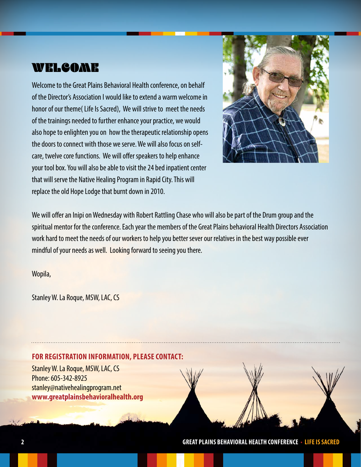# WELCOME

Welcome to the Great Plains Behavioral Health conference, on behalf of the Director's Association I would like to extend a warm welcome in honor of our theme( Life Is Sacred), We will strive to meet the needs of the trainings needed to further enhance your practice, we would also hope to enlighten you on how the therapeutic relationship opens the doors to connect with those we serve. We will also focus on selfcare, twelve core functions. We will offer speakers to help enhance your tool box. You will also be able to visit the 24 bed inpatient center that will serve the Native Healing Program in Rapid City. This will replace the old Hope Lodge that burnt down in 2010.



We will offer an Inipi on Wednesday with Robert Rattling Chase who will also be part of the Drum group and the spiritual mentor for the conference. Each year the members of the Great Plains behavioral Health Directors Association work hard to meet the needs of our workers to help you better sever our relatives in the best way possible ever mindful of your needs as well. Looking forward to seeing you there.

Wopila,

Stanley W. La Roque, MSW, LAC, CS

#### **FOR REGISTRATION INFORMATION, PLEASE CONTACT:**

Stanley W. La Roque, MSW, LAC, CS Phone: 605-342-8925 stanley@nativehealingprogram.net **www.greatplainsbehavioralhealth.org**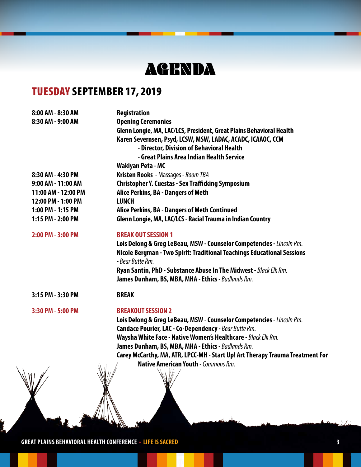# AGENDA

# TUESDAY SEPTEMBER 17, 2019

| 8:00 AM - 8:30 AM   | Registration                                                                  |
|---------------------|-------------------------------------------------------------------------------|
| 8:30 AM - 9:00 AM   | <b>Opening Ceremonies</b>                                                     |
|                     | Glenn Longie, MA, LAC/LCS, President, Great Plains Behavioral Health          |
|                     | Karen Severnsen, Psyd, LCSW, MSW, LADAC, ACADC, ICAAOC, CCM                   |
|                     | - Director, Division of Behavioral Health                                     |
|                     | - Great Plains Area Indian Health Service                                     |
|                     | <b>Wakiyan Peta - MC</b>                                                      |
| 8:30 AM - 4:30 PM   | Kristen Rooks - Massages - Room TBA                                           |
| 9:00 AM - 11:00 AM  | <b>Christopher Y. Cuestas - Sex Trafficking Symposium</b>                     |
| 11:00 AM - 12:00 PM | Alice Perkins, BA - Dangers of Meth                                           |
| 12:00 PM - 1:00 PM  | <b>LUNCH</b>                                                                  |
| 1:00 PM - 1:15 PM   | Alice Perkins, BA - Dangers of Meth Continued                                 |
| 1:15 PM - 2:00 PM   | Glenn Longie, MA, LAC/LCS - Racial Trauma in Indian Country                   |
| 2:00 PM - 3:00 PM   | <b>BREAK OUT SESSION 1</b>                                                    |
|                     | Lois Delong & Greg LeBeau, MSW - Counselor Competencies - Lincoln Rm.         |
|                     | Nicole Bergman - Two Spirit: Traditional Teachings Educational Sessions       |
|                     | - Bear Butte Rm.                                                              |
|                     | Ryan Santin, PhD - Substance Abuse In The Midwest - Black Elk Rm.             |
|                     | James Dunham, BS, MBA, MHA - Ethics - Badlands Rm.                            |
| 3:15 PM - 3:30 PM   | <b>BREAK</b>                                                                  |
| 3:30 PM - 5:00 PM   | <b>BREAKOUT SESSION 2</b>                                                     |
|                     | Lois Delong & Greg LeBeau, MSW - Counselor Competencies - Lincoln Rm.         |
|                     | Candace Pourier, LAC - Co-Dependency - Bear Butte Rm.                         |
|                     | Waysha White Face - Native Women's Healthcare - Black Elk Rm.                 |
|                     | James Dunham, BS, MBA, MHA - Ethics - Badlands Rm.                            |
|                     | Carey McCarthy, MA, ATR, LPCC-MH - Start Up! Art Therapy Trauma Treatment For |
|                     | <b>Native American Youth - Commons Rm.</b>                                    |
|                     |                                                                               |
|                     |                                                                               |
|                     |                                                                               |
|                     |                                                                               |
|                     |                                                                               |
|                     | $\cdot$ $\cdot$ 3                                                             |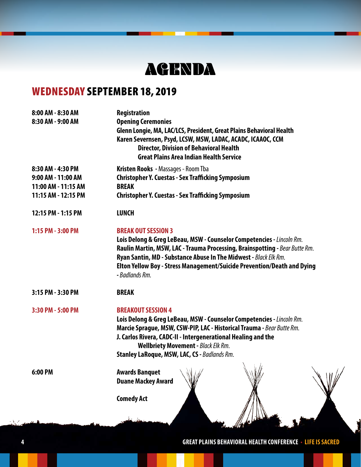# AGENDA

# WEDNESDAY SEPTEMBER 18, 2019

| 8:00 AM - 8:30 AM   | Registration                                                                                                                                                    |
|---------------------|-----------------------------------------------------------------------------------------------------------------------------------------------------------------|
| 8:30 AM - 9:00 AM   | <b>Opening Ceremonies</b><br>Glenn Longie, MA, LAC/LCS, President, Great Plains Behavioral Health                                                               |
|                     | Karen Severnsen, Psyd, LCSW, MSW, LADAC, ACADC, ICAAOC, CCM<br><b>Director, Division of Behavioral Health</b><br><b>Great Plains Area Indian Health Service</b> |
| 8:30 AM - 4:30 PM   | Kristen Rooks - Massages - Room Tba                                                                                                                             |
| 9:00 AM - 11:00 AM  | <b>Christopher Y. Cuestas - Sex Trafficking Symposium</b>                                                                                                       |
| 11:00 AM - 11:15 AM | <b>BREAK</b>                                                                                                                                                    |
| 11:15 AM - 12:15 PM | <b>Christopher Y. Cuestas - Sex Trafficking Symposium</b>                                                                                                       |
| 12:15 PM - 1:15 PM  | <b>LUNCH</b>                                                                                                                                                    |
| 1:15 PM - 3:00 PM   | <b>BREAK OUT SESSION 3</b>                                                                                                                                      |
|                     | Lois Delong & Greg LeBeau, MSW - Counselor Competencies - Lincoln Rm.                                                                                           |
|                     | Raulin Martin, MSW, LAC - Trauma Processing, Brainspotting - Bear Butte Rm.                                                                                     |
|                     | Ryan Santin, MD - Substance Abuse In The Midwest - Black Elk Rm.                                                                                                |
|                     | Elton Yellow Boy - Stress Management/Suicide Prevention/Death and Dying<br>- Badlands Rm.                                                                       |
| 3:15 PM - 3:30 PM   | <b>BREAK</b>                                                                                                                                                    |
| 3:30 PM - 5:00 PM   | <b>BREAKOUT SESSION 4</b>                                                                                                                                       |
|                     | Lois Delong & Greg LeBeau, MSW - Counselor Competencies - Lincoln Rm.                                                                                           |
|                     | Marcie Sprague, MSW, CSW-PIP, LAC - Historical Trauma - Bear Butte Rm.                                                                                          |
|                     | J. Carlos Rivera, CADC-II - Intergenerational Healing and the<br><b>Wellbriety Movement - Black Elk Rm.</b>                                                     |
|                     | Stanley LaRoque, MSW, LAC, CS - Badlands Rm.                                                                                                                    |
| 6:00 PM             | <b>Awards Banquet</b>                                                                                                                                           |
|                     | <b>Duane Mackey Award</b>                                                                                                                                       |
|                     | <b>Comedy Act</b>                                                                                                                                               |
|                     |                                                                                                                                                                 |
|                     |                                                                                                                                                                 |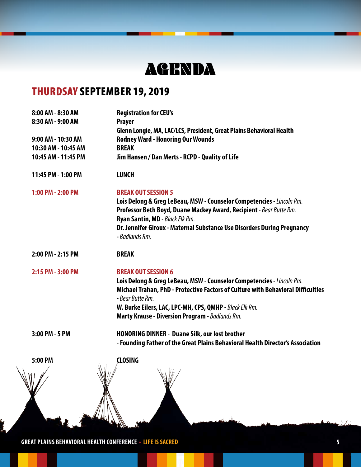# AGENDA

# THURDSAY SEPTEMBER 19, 2019

| 8:00 AM - 8:30 AM   | <b>Registration for CEU's</b>                                                    |
|---------------------|----------------------------------------------------------------------------------|
| 8:30 AM - 9:00 AM   | <b>Prayer</b>                                                                    |
|                     | Glenn Longie, MA, LAC/LCS, President, Great Plains Behavioral Health             |
| 9:00 AM - 10:30 AM  | <b>Rodney Ward - Honoring Our Wounds</b>                                         |
| 10:30 AM - 10:45 AM | <b>BREAK</b>                                                                     |
| 10:45 AM - 11:45 PM | Jim Hansen / Dan Merts - RCPD - Quality of Life                                  |
| 11:45 PM - 1:00 PM  | <b>LUNCH</b>                                                                     |
| 1:00 PM - 2:00 PM   | <b>BREAK OUT SESSION 5</b>                                                       |
|                     | Lois Delong & Greg LeBeau, MSW - Counselor Competencies - Lincoln Rm.            |
|                     | Professor Beth Boyd, Duane Mackey Award, Recipient - Bear Butte Rm.              |
|                     | Ryan Santin, MD - Black Elk Rm.                                                  |
|                     | Dr. Jennifer Giroux - Maternal Substance Use Disorders During Pregnancy          |
|                     | - Badlands Rm.                                                                   |
| 2:00 PM - 2:15 PM   | <b>BREAK</b>                                                                     |
| 2:15 PM - 3:00 PM   | <b>BREAK OUT SESSION 6</b>                                                       |
|                     | Lois Delong & Greg LeBeau, MSW - Counselor Competencies - Lincoln Rm.            |
|                     | Michael Trahan, PhD - Protective Factors of Culture with Behavioral Difficulties |
|                     | - Bear Butte Rm.                                                                 |
|                     | W. Burke Eilers, LAC, LPC-MH, CPS, QMHP - Black Elk Rm.                          |
|                     | Marty Krause - Diversion Program - Badlands Rm.                                  |
| 3:00 PM - 5 PM      | <b>HONORING DINNER - Duane Silk, our lost brother</b>                            |
|                     | - Founding Father of the Great Plains Behavioral Health Director's Association   |
| 5:00 PM             | <b>CLOSING</b>                                                                   |
| $\frac{1}{2}$       | $\sqrt{100}$                                                                     |
|                     |                                                                                  |
|                     |                                                                                  |
|                     |                                                                                  |
|                     |                                                                                  |
|                     |                                                                                  |
|                     |                                                                                  |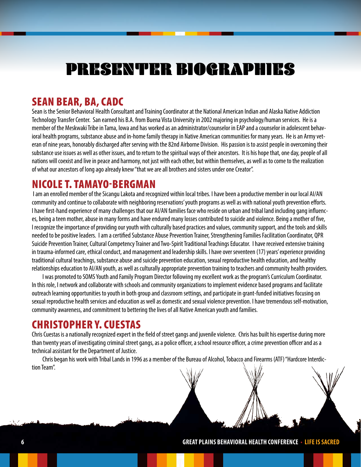# PRESENTER BIOGRAPHIES

## SEAN BEAR, BA, CADC

Sean is the Senior Behavioral Health Consultant and Training Coordinator at the National American Indian and Alaska Native Addiction Technology Transfer Center. San earned his B.A. from Buena Vista University in 2002 majoring in psychology/human services. He is a member of the Meskwaki Tribe in Tama, Iowa and has worked as an administrator/counselor in EAP and a counselor in adolescent behavioral health programs, substance abuse and in-home family therapy in Native American communities for many years. He is an Army veteran of nine years, honorably discharged after serving with the 82nd Airborne Division. His passion is to assist people in overcoming their substance use issues as well as other issues, and to return to the spiritual ways of their ancestors. It is his hope that, one day, people of all nations will coexist and live in peace and harmony, not just with each other, but within themselves, as well as to come to the realization of what our ancestors of long ago already knew "that we are all brothers and sisters under one Creator".

#### NICOLE T. TAMAYO-BERGMAN

 I am an enrolled member of the Sicangu Lakota and recognized within local tribes. I have been a productive member in our local AI/AN community and continue to collaborate with neighboring reservations' youth programs as well as with national youth prevention efforts. I have first-hand experience of many challenges that our AI/AN families face who reside on urban and tribal land including gang influences, being a teen mother, abuse in many forms and have endured many losses contributed to suicide and violence. Being a mother of five, I recognize the importance of providing our youth with culturally based practices and values, community support, and the tools and skills needed to be positive leaders. I am a certified Substance Abuse Prevention Trainer, Strengthening Families Facilitation Coordinator, QPR Suicide Prevention Trainer, Cultural Competency Trainer and Two-Spirit Traditional Teachings Educator. I have received extensive training in trauma-informed care, ethical conduct, and management and leadership skills. I have over seventeen (17) years' experience providing traditional cultural teachings, substance abuse and suicide prevention education, sexual reproductive health education, and healthy relationships education to AI/AN youth, as well as culturally appropriate prevention training to teachers and community health providers.

I was promoted to SOMS Youth and Family Program Director following my excellent work as the program's Curriculum Coordinator. In this role, I network and collaborate with schools and community organizations to implement evidence based programs and facilitate outreach learning opportunities to youth in both group and classroom settings, and participate in grant-funded initiatives focusing on sexual reproductive health services and education as well as domestic and sexual violence prevention. I have tremendous self-motivation, community awareness, and commitment to bettering the lives of all Native American youth and families.

## CHRISTOPHER Y. CUESTAS

Chris Cuestas is a nationally recognized expert in the field of street gangs and juvenile violence. Chris has built his expertise during more than twenty years of investigating criminal street gangs, as a police officer, a school resource officer, a crime prevention officer and as a technical assistant for the Department of Justice.

Chris began his work with Tribal Lands in 1996 as a member of the Bureau of Alcohol, Tobacco and Firearms (ATF) "Hardcore Interdiction Team".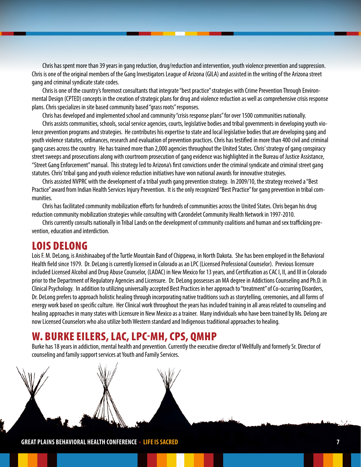Chris has spent more than 39 years in gang reduction, drug/reduction and intervention, youth violence prevention and suppression. Chris is one of the original members of the Gang Investigators League of Arizona (GILA) and assisted in the writing of the Arizona street gang and criminal syndicate state codes.

Chris is one of the country's foremost consultants that integrate "best practice" strategies with Crime Prevention Through Environmental Design (CPTED) concepts in the creation of strategic plans for drug and violence reduction as well as comprehensive crisis response plans. Chris specializes in site based community based "grass roots" responses.

Chris has developed and implemented school and community "crisis response plans" for over 1500 communities nationally.

Chris assists communities, schools, social service agencies, courts, legislative bodies and tribal governments in developing youth violence prevention programs and strategies. He contributes his expertise to state and local legislative bodies that are developing gang and youth violence statutes, ordinances, research and evaluation of prevention practices. Chris has testified in more than 400 civil and criminal gang cases across the country. He has trained more than 2,000 agencies throughout the United States. Chris' strategy of gang conspiracy street sweeps and prosecutions along with courtroom prosecution of gang evidence was highlighted in the Bureau of Justice Assistance, "Street Gang Enforcement" manual. This strategy led to Arizona's first convictions under the criminal syndicate and criminal street gang statutes. Chris' tribal gang and youth violence reduction initiatives have won national awards for innovative strategies.

Chris assisted NVPRC with the development of a tribal youth gang prevention strategy. In 2009/10, the strategy received a "Best Practice" award from Indian Health Services Injury Prevention. It is the only recognized "Best Practice" for gang prevention in tribal communities.

Chris has facilitated community mobilization efforts for hundreds of communities across the United States. Chris began his drug reduction community mobilization strategies while consulting with Carondelet Community Health Network in 1997-2010.

Chris currently consults nationally in Tribal Lands on the development of community coalitions and human and sex trafficking prevention, education and interdiction.

#### LOIS DELONG

Lois F. M. DeLong, is Anishinaabeg of the Turtle Mountain Band of Chippewa, in North Dakota. She has been employed in the Behavioral Health field since 1979. Dr. DeLong is currently licensed in Colorado as an LPC (Licensed Professional Counselor). Previous licensure included Licensed Alcohol and Drug Abuse Counselor, (LADAC) in New Mexico for 13 years, and Certification as CAC I, II, and III in Colorado prior to the Department of Regulatory Agencies and Licensure. Dr. DeLong possesses an MA degree in Addictions Counseling and Ph.D. in Clinical Psychology. In addition to utilizing universally accepted Best Practices in her approach to "treatment" of Co-occurring Disorders, Dr. DeLong prefers to approach holistic healing through incorporating native traditions such as storytelling, ceremonies, and all forms of energy work based on specific culture. Her Clinical work throughout the years has included training in all areas related to counseling and healing approaches in many states with Licensure in New Mexico as a trainer. Many individuals who have been trained by Ms. Delong are now Licensed Counselors who also utilize both Western standard and Indigenous traditional approaches to healing.

#### W. BURKE EILERS, LAC, LPC-MH, CPS, QMHP

Burke has 18 years in addiction, mental health and prevention. Currently the executive director of Wellfully and formerly Sr. Director of counseling and family support services at Youth and Family Services.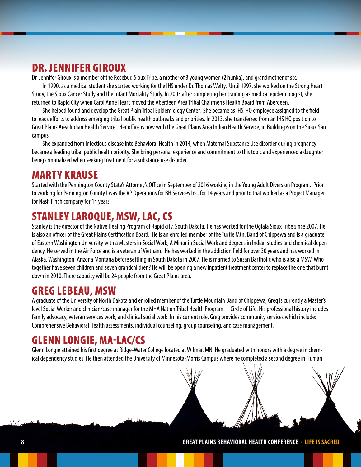## DR. JENNIFER GIROUX

Dr. Jennifer Giroux is a member of the Rosebud Sioux Tribe, a mother of 3 young women (2 hunka), and grandmother of six.

In 1990, as a medical student she started working for the IHS under Dr. Thomas Welty. Until 1997, she worked on the Strong Heart Study, the Sioux Cancer Study and the Infant Mortality Study. In 2003 after completing her training as medical epidemiologist, she returned to Rapid City when Carol Anne Heart moved the Aberdeen Area Tribal Chairmen's Health Board from Aberdeen.

She helped found and develop the Great Plain Tribal Epidemiology Center. She became as IHS-HQ employee assigned to the field to leads efforts to address emerging tribal public health outbreaks and priorities. In 2013, she transferred from an IHS HQ position to Great Plains Area Indian Health Service. Her office is now with the Great Plains Area Indian Health Service, in Building 6 on the Sioux San campus.

She expanded from infectious disease into Behavioral Health in 2014, when Maternal Substance Use disorder during pregnancy became a leading tribal public health priority. She bring personal experience and commitment to this topic and experienced a daughter being criminalized when seeking treatment for a substance use disorder.

#### MARTY KRAUSE

Started with the Pennington County State's Attorney's Office in September of 2016 working in the Young Adult Diversion Program. Prior to working for Pennington County I was the VP Operations for BH Services Inc. for 14 years and prior to that worked as a Project Manager for Nash Finch company for 14 years.

## STANLEY LAROQUE, MSW, LAC, CS

Stanley is the director of the Native Healing Program of Rapid city, South Dakota. He has worked for the Oglala Sioux Tribe since 2007. He is also an officer of the Great Plains Certification Board. He is an enrolled member of the Turtle Mtn. Band of Chippewa and is a graduate of Eastern Washington University with a Masters in Social Work, A Minor in Social Work and degrees in Indian studies and chemical dependency. He served in the Air Force and is a veteran of Vietnam. He has worked in the addiction field for over 30 years and has worked in Alaska, Washington, Arizona Montana before settling in South Dakota in 2007. He is married to Susan Bartholic who is also a MSW. Who together have seven children and seven grandchildren? He will be opening a new inpatient treatment center to replace the one that burnt down in 2010. There capacity will be 24 people from the Great Plains area.

## GREG LEBEAU, MSW

A graduate of the University of North Dakota and enrolled member of the Turtle Mountain Band of Chippewa, Greg is currently a Master's level Social Worker and clinician/case manager for the MHA Nation Tribal Health Program—Circle of Life. His professional history includes family advocacy, veteran services work, and clinical social work. In his current role, Greg provides community services which include: Comprehensive Behavioral Health assessments, individual counseling, group counseling, and case management.

## GLENN LONGIE, MA-LAC/CS

Glenn Longie attained his first degree at Ridge-Water College located at Wilmar, MN. He graduated with honors with a degree in chemical dependency studies. He then attended the University of Minnesota-Morris Campus where he completed a second degree in Human

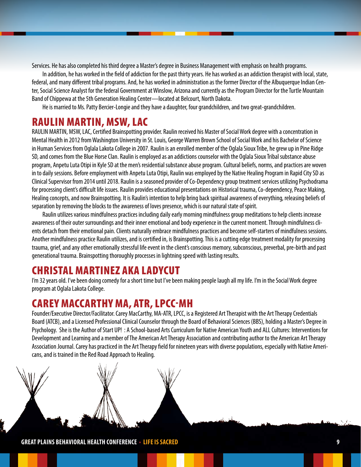Services. He has also completed his third degree a Master's degree in Business Management with emphasis on health programs.

In addition, he has worked in the field of addiction for the past thirty years. He has worked as an addiction therapist with local, state, federal, and many different tribal programs. And, he has worked in administration as the former Director of the Albuquerque Indian Center, Social Science Analyst for the federal Government at Winslow, Arizona and currently as the Program Director for the Turtle Mountain Band of Chippewa at the 5th Generation Healing Center—located at Belcourt, North Dakota.

He is married to Ms. Patty Bercier-Longie and they have a daughter, four grandchildren, and two great-grandchildren.

#### RAULIN MARTIN, MSW, LAC

RAULIN MARTIN, MSW, LAC, Certified Brainspotting provider. Raulin received his Master of Social Work degree with a concentration in Mental Health in 2012 from Washington University in St. Louis, George Warren Brown School of Social Work and his Bachelor of Science in Human Services from Oglala Lakota College in 2007. Raulin is an enrolled member of the Oglala Sioux Tribe, he grew up in Pine Ridge SD, and comes from the Blue Horse Clan. Raulin is employed as an addictions counselor with the Oglala Sioux Tribal substance abuse program, Anpetu Luta Otipi in Kyle SD at the men's residential substance abuse program. Cultural beliefs, norms, and practices are woven in to daily sessions. Before employment with Anpetu Luta Otipi, Raulin was employed by the Native Healing Program in Rapid City SD as Clinical Supervisor from 2014 until 2018. Raulin is a seasoned provider of Co-Dependency group treatment services utilizing Psychodrama for processing client's difficult life issues. Raulin provides educational presentations on Historical trauma, Co-dependency, Peace Making, Healing concepts, and now Brainspotting. It is Raulin's intention to help bring back spiritual awareness of everything, releasing beliefs of separation by removing the blocks to the awareness of loves presence, which is our natural state of spirit.

Raulin utilizes various mindfulness practices including daily early morning mindfulness group meditations to help clients increase awareness of their outer surroundings and their inner emotional and body experience in the current moment. Through mindfulness clients detach from their emotional pain. Clients naturally embrace mindfulness practices and become self-starters of mindfulness sessions. Another mindfulness practice Raulin utilizes, and is certified in, is Brainspotting. This is a cutting edge treatment modality for processing trauma, grief, and any other emotionally stressful life event in the client's conscious memory, subconscious, preverbal, pre-birth and past generational trauma. Brainspotting thoroughly processes in lightning speed with lasting results.

#### CHRISTAL MARTINEZ AKA LADYCUT

I'm 32 years old. I've been doing comedy for a short time but I've been making people laugh all my life. I'm in the Social Work degree program at Oglala Lakota College.

#### CAREY MACCARTHY MA, ATR, LPCC-MH

Founder/Executive Director/Facilitator. Carey MacCarthy, MA-ATR, LPCC, is a Registered Art Therapist with the Art Therapy Credentials Board (ATCB), and a Licensed Professional Clinical Counselor through the Board of Behavioral Sciences (BBS), holding a Master's Degree in Psychology. She is the Author of Start UP! : A School-based Arts Curriculum for Native American Youth and ALL Cultures: Interventions for Development and Learning and a member of The American Art Therapy Association and contributing author to the American Art Therapy Association Journal. Carey has practiced in the Art Therapy field for nineteen years with diverse populations, especially with Native Americans, and is trained in the Red Road Approach to Healing.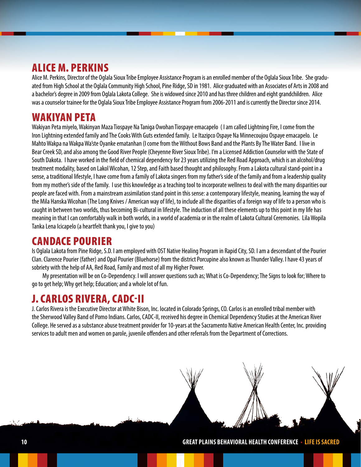# ALICE M. PERKINS

Alice M. Perkins, Director of the Oglala Sioux Tribe Employee Assistance Program is an enrolled member of the Oglala Sioux Tribe. She graduated from High School at the Oglala Community High School, Pine Ridge, SD in 1981. Alice graduated with an Associates of Arts in 2008 and a bachelor's degree in 2009 from Oglala Lakota College. She is widowed since 2010 and has three children and eight grandchildren. Alice was a counselor trainee for the Oglala Sioux Tribe Employee Assistance Program from 2006-2011 and is currently the Director since 2014.

#### WAKIYAN PETA

Wakiyan Peta miyelo, Wakinyan Maza Tiospaye Na Taniga Owohan Tiospaye emacapelo ( I am called Lightning Fire, I come from the Iron Lightning extended family and The Cooks With Guts extended family. Le Itazipco Ospaye Na Minnecoujou Ospaye emacapelo. Le Mahto Wakpa na Wakpa Wa'ste Oyanke ematanhan (I come from the Without Bows Band and the Plants By The Water Band. I live in Bear Creek SD, and also among the Good River People (Cheyenne River Sioux Tribe). I'm a Licensed Addiction Counselor with the State of South Dakota. I have worked in the field of chemical dependency for 23 years utilizing the Red Road Approach, which is an alcohol/drug treatment modality, based on Lakol Wicohan, 12 Step, and Faith based thought and philosophy. From a Lakota cultural stand-point in a sense, a traditional lifestyle, I have come from a family of Lakota singers from my father's side of the family and from a leadership quality from my mother's side of the family. I use this knowledge as a teaching tool to incorporate wellness to deal with the many disparities our people are faced with. From a mainstream assimilation stand point in this sense: a contemporary lifestyle, meaning, learning the way of the Mila Hanska Wicohan (The Long Knives / American way of life), to include all the disparities of a foreign way of life to a person who is caught in between two worlds, thus becoming Bi-cultural in lifestyle. The induction of all these elements up to this point in my life has meaning in that I can comfortably walk in both worlds, in a world of academia or in the realm of Lakota Cultural Ceremonies. Lila Wopila Tanka Lena Icicapelo (a heartfelt thank you, I give to you)

#### CANDACE POURIER

Is Oglala Lakota from Pine Ridge, S.D. I am employed with OST Native Healing Program in Rapid City, SD. I am a descendant of the Pourier Clan. Clarence Pourier (father) and Opal Pourier (Bluehorse) from the district Porcupine also known as Thunder Valley. I have 43 years of sobriety with the help of AA, Red Road, Family and most of all my Higher Power.

My presentation will be on Co-Dependency. I will answer questions such as; What is Co-Dependency; The Signs to look for; Where to go to get help; Why get help; Education; and a whole lot of fun.

# J. CARLOS RIVERA, CADC-II

J. Carlos Rivera is the Executive Director at White Bison, Inc. located in Colorado Springs, CO. Carlos is an enrolled tribal member with the Sherwood Valley Band of Pomo Indians. Carlos, CADC-II, received his degree in Chemical Dependency Studies at the American River College. He served as a substance abuse treatment provider for 10-years at the Sacramento Native American Health Center, Inc. providing services to adult men and women on parole, juvenile offenders and other referrals from the Department of Corrections.

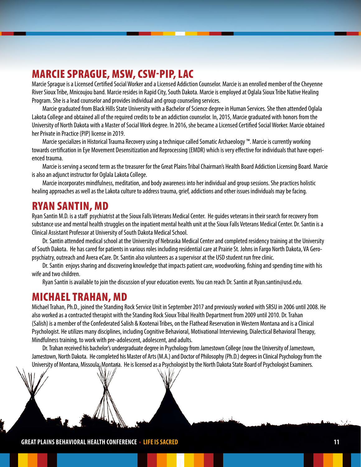# MARCIE SPRAGUE, MSW, CSW-PIP, LAC

Marcie Sprague is a Licensed Certified Social Worker and a Licensed Addiction Counselor. Marcie is an enrolled member of the Cheyenne River Sioux Tribe, Mnicoujou band. Marcie resides in Rapid City, South Dakota. Marcie is employed at Oglala Sioux Tribe Native Healing Program. She is a lead counselor and provides individual and group counseling services.

Marcie graduated from Black Hills State University with a Bachelor of Science degree in Human Services. She then attended Oglala Lakota College and obtained all of the required credits to be an addiction counselor. In, 2015, Marcie graduated with honors from the University of North Dakota with a Master of Social Work degree. In 2016, she became a Licensed Certified Social Worker. Marcie obtained her Private in Practice (PIP) license in 2019.

Marcie specializes in Historical Trauma Recovery using a technique called Somatic Archaeology ™. Marcie is currently working towards certification in Eye Movement Desensitization and Reprocessing (EMDR) which is very effective for individuals that have experienced trauma.

Marcie is serving a second term as the treasurer for the Great Plains Tribal Chairman's Health Board Addiction Licensing Board. Marcie is also an adjunct instructor for Oglala Lakota College.

Marcie incorporates mindfulness, meditation, and body awareness into her individual and group sessions. She practices holistic healing approaches as well as the Lakota culture to address trauma, grief, addictions and other issues individuals may be facing.

#### RYAN SANTIN, MD

Ryan Santin M.D. is a staff psychiatrist at the Sioux Falls Veterans Medical Center. He guides veterans in their search for recovery from substance use and mental health struggles on the inpatient mental health unit at the Sioux Falls Veterans Medical Center. Dr. Santin is a Clinical Assistant Professor at University of South Dakota Medical School.

Dr. Santin attended medical school at the University of Nebraska Medical Center and completed residency training at the University of South Dakota. He has cared for patients in various roles including residential care at Prairie St. Johns in Fargo North Dakota, VA Geropsychiatry, outreach and Avera eCare. Dr. Santin also volunteers as a supervisor at the USD student run free clinic.

Dr. Santin enjoys sharing and discovering knowledge that impacts patient care, woodworking, fishing and spending time with his wife and two children.

Ryan Santin is available to join the discussion of your education events. You can reach Dr. Santin at Ryan.santin@usd.edu.

#### MICHAEL TRAHAN, MD

Michael Trahan, Ph.D., joined the Standing Rock Service Unit in September 2017 and previously worked with SRSU in 2006 until 2008. He also worked as a contracted therapist with the Standing Rock Sioux Tribal Health Department from 2009 until 2010. Dr. Trahan (Salish) is a member of the Confederated Salish & Kootenai Tribes, on the Flathead Reservation in Western Montana and is a Clinical Psychologist. He utilizes many disciplines, including Cognitive Behavioral, Motivational Interviewing, Dialectical Behavioral Therapy, Mindfulness training, to work with pre-adolescent, adolescent, and adults.

Dr. Trahan received his bachelor's undergraduate degree in Psychology from Jamestown College (now the University of Jamestown, Jamestown, North Dakota. He completed his Master of Arts (M.A.) and Doctor of Philosophy (Ph.D.) degrees in Clinical Psychology from the University of Montana, Missoula<sub></sub> Montana. He is licensed as a Psychologist by the North Dakota State Board of Psychologist Examiners.